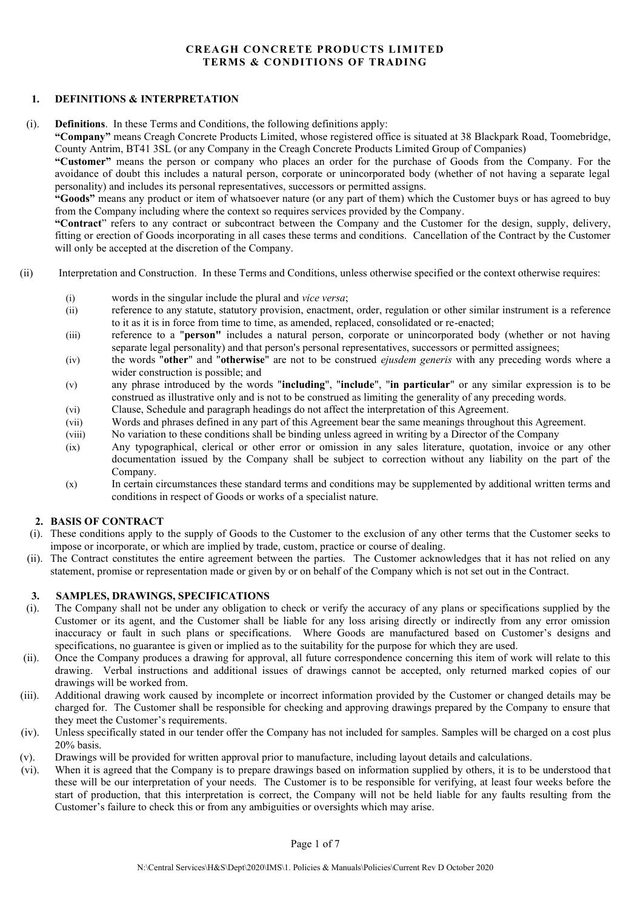# **CREAGH CONCRETE PRODUCTS LIMITED TERMS & CONDITIONS OF TRADING**

### **1. DEFINITIONS & INTERPRETATION**

(i). **Definitions**. In these Terms and Conditions, the following definitions apply:

**"Company"** means Creagh Concrete Products Limited, whose registered office is situated at 38 Blackpark Road, Toomebridge, County Antrim, BT41 3SL (or any Company in the Creagh Concrete Products Limited Group of Companies)

**"Customer"** means the person or company who places an order for the purchase of Goods from the Company. For the avoidance of doubt this includes a natural person, corporate or unincorporated body (whether of not having a separate legal personality) and includes its personal representatives, successors or permitted assigns.

**"Goods"** means any product or item of whatsoever nature (or any part of them) which the Customer buys or has agreed to buy from the Company including where the context so requires services provided by the Company.

**"Contract**" refers to any contract or subcontract between the Company and the Customer for the design, supply, delivery, fitting or erection of Goods incorporating in all cases these terms and conditions. Cancellation of the Contract by the Customer will only be accepted at the discretion of the Company.

- (ii) Interpretation and Construction. In these Terms and Conditions, unless otherwise specified or the context otherwise requires:
	- (i) words in the singular include the plural and *vice versa*;
	- (ii) reference to any statute, statutory provision, enactment, order, regulation or other similar instrument is a reference to it as it is in force from time to time, as amended, replaced, consolidated or re-enacted;
	- (iii) reference to a "**person"** includes a natural person, corporate or unincorporated body (whether or not having separate legal personality) and that person's personal representatives, successors or permitted assignees;
	- (iv) the words "**other**" and "**otherwise**" are not to be construed *ejusdem generis* with any preceding words where a wider construction is possible; and
	- (v) any phrase introduced by the words "**including**", "**include**", "**in particular**" or any similar expression is to be construed as illustrative only and is not to be construed as limiting the generality of any preceding words.
	- (vi) Clause, Schedule and paragraph headings do not affect the interpretation of this Agreement.
	- (vii) Words and phrases defined in any part of this Agreement bear the same meanings throughout this Agreement.
	- (viii) No variation to these conditions shall be binding unless agreed in writing by a Director of the Company
	- (ix) Any typographical, clerical or other error or omission in any sales literature, quotation, invoice or any other documentation issued by the Company shall be subject to correction without any liability on the part of the Company.
	- (x) In certain circumstances these standard terms and conditions may be supplemented by additional written terms and conditions in respect of Goods or works of a specialist nature.

### **2. BASIS OF CONTRACT**

- (i). These conditions apply to the supply of Goods to the Customer to the exclusion of any other terms that the Customer seeks to impose or incorporate, or which are implied by trade, custom, practice or course of dealing.
- (ii). The Contract constitutes the entire agreement between the parties. The Customer acknowledges that it has not relied on any statement, promise or representation made or given by or on behalf of the Company which is not set out in the Contract.

### **3. SAMPLES, DRAWINGS, SPECIFICATIONS**

- (i). The Company shall not be under any obligation to check or verify the accuracy of any plans or specifications supplied by the Customer or its agent, and the Customer shall be liable for any loss arising directly or indirectly from any error omission inaccuracy or fault in such plans or specifications. Where Goods are manufactured based on Customer's designs and specifications, no guarantee is given or implied as to the suitability for the purpose for which they are used.
- (ii). Once the Company produces a drawing for approval, all future correspondence concerning this item of work will relate to this drawing. Verbal instructions and additional issues of drawings cannot be accepted, only returned marked copies of our drawings will be worked from.
- (iii). Additional drawing work caused by incomplete or incorrect information provided by the Customer or changed details may be charged for. The Customer shall be responsible for checking and approving drawings prepared by the Company to ensure that they meet the Customer's requirements.
- (iv). Unless specifically stated in our tender offer the Company has not included for samples. Samples will be charged on a cost plus 20% basis.
- (v). Drawings will be provided for written approval prior to manufacture, including layout details and calculations.
- (vi). When it is agreed that the Company is to prepare drawings based on information supplied by others, it is to be understood that these will be our interpretation of your needs. The Customer is to be responsible for verifying, at least four weeks before the start of production, that this interpretation is correct, the Company will not be held liable for any faults resulting from the Customer's failure to check this or from any ambiguities or oversights which may arise.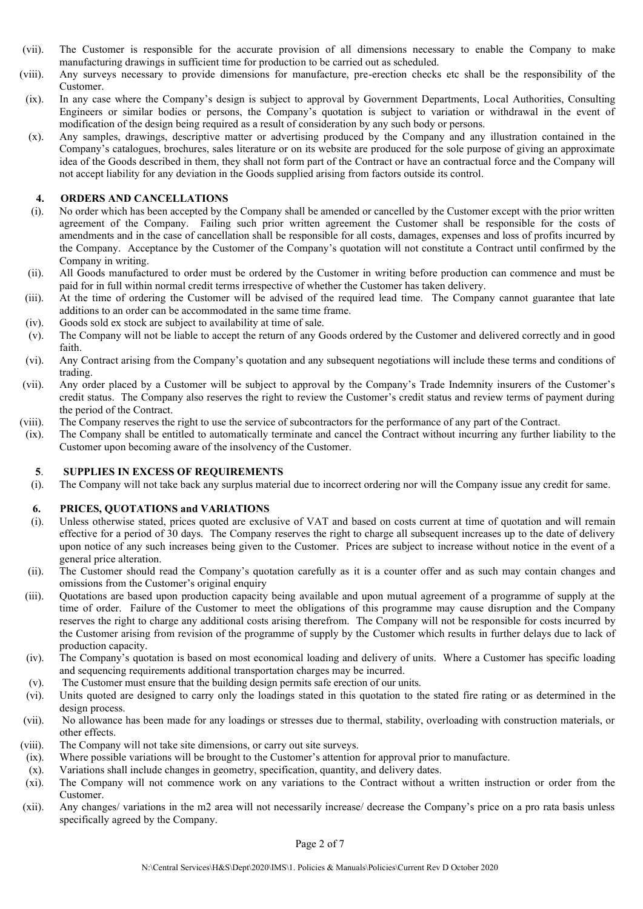- (vii). The Customer is responsible for the accurate provision of all dimensions necessary to enable the Company to make manufacturing drawings in sufficient time for production to be carried out as scheduled.
- (viii). Any surveys necessary to provide dimensions for manufacture, pre-erection checks etc shall be the responsibility of the Customer.
- (ix). In any case where the Company's design is subject to approval by Government Departments, Local Authorities, Consulting Engineers or similar bodies or persons, the Company's quotation is subject to variation or withdrawal in the event of modification of the design being required as a result of consideration by any such body or persons.
- (x). Any samples, drawings, descriptive matter or advertising produced by the Company and any illustration contained in the Company's catalogues, brochures, sales literature or on its website are produced for the sole purpose of giving an approximate idea of the Goods described in them, they shall not form part of the Contract or have an contractual force and the Company will not accept liability for any deviation in the Goods supplied arising from factors outside its control.

### **4. ORDERS AND CANCELLATIONS**

- (i). No order which has been accepted by the Company shall be amended or cancelled by the Customer except with the prior written agreement of the Company. Failing such prior written agreement the Customer shall be responsible for the costs of amendments and in the case of cancellation shall be responsible for all costs, damages, expenses and loss of profits incurred by the Company. Acceptance by the Customer of the Company's quotation will not constitute a Contract until confirmed by the Company in writing.
- (ii). All Goods manufactured to order must be ordered by the Customer in writing before production can commence and must be paid for in full within normal credit terms irrespective of whether the Customer has taken delivery.
- (iii). At the time of ordering the Customer will be advised of the required lead time. The Company cannot guarantee that late additions to an order can be accommodated in the same time frame.
- (iv). Goods sold ex stock are subject to availability at time of sale.
- (v). The Company will not be liable to accept the return of any Goods ordered by the Customer and delivered correctly and in good faith.
- (vi). Any Contract arising from the Company's quotation and any subsequent negotiations will include these terms and conditions of trading.
- (vii). Any order placed by a Customer will be subject to approval by the Company's Trade Indemnity insurers of the Customer's credit status. The Company also reserves the right to review the Customer's credit status and review terms of payment during the period of the Contract.
- (viii). The Company reserves the right to use the service of subcontractors for the performance of any part of the Contract.
- (ix). The Company shall be entitled to automatically terminate and cancel the Contract without incurring any further liability to the Customer upon becoming aware of the insolvency of the Customer.

## **5**. **SUPPLIES IN EXCESS OF REQUIREMENTS**

(i). The Company will not take back any surplus material due to incorrect ordering nor will the Company issue any credit for same.

### **6. PRICES, QUOTATIONS and VARIATIONS**

- (i). Unless otherwise stated, prices quoted are exclusive of VAT and based on costs current at time of quotation and will remain effective for a period of 30 days. The Company reserves the right to charge all subsequent increases up to the date of delivery upon notice of any such increases being given to the Customer. Prices are subject to increase without notice in the event of a general price alteration.
- (ii). The Customer should read the Company's quotation carefully as it is a counter offer and as such may contain changes and omissions from the Customer's original enquiry
- (iii). Quotations are based upon production capacity being available and upon mutual agreement of a programme of supply at the time of order. Failure of the Customer to meet the obligations of this programme may cause disruption and the Company reserves the right to charge any additional costs arising therefrom. The Company will not be responsible for costs incurred by the Customer arising from revision of the programme of supply by the Customer which results in further delays due to lack of production capacity.
- (iv). The Company's quotation is based on most economical loading and delivery of units. Where a Customer has specific loading and sequencing requirements additional transportation charges may be incurred.
- (v). The Customer must ensure that the building design permits safe erection of our units.
- (vi). Units quoted are designed to carry only the loadings stated in this quotation to the stated fire rating or as determined in the design process.
- (vii). No allowance has been made for any loadings or stresses due to thermal, stability, overloading with construction materials, or other effects.
- (viii). The Company will not take site dimensions, or carry out site surveys.
- (ix). Where possible variations will be brought to the Customer's attention for approval prior to manufacture.
- (x). Variations shall include changes in geometry, specification, quantity, and delivery dates.
- (xi). The Company will not commence work on any variations to the Contract without a written instruction or order from the Customer.
- (xii). Any changes/ variations in the m2 area will not necessarily increase/ decrease the Company's price on a pro rata basis unless specifically agreed by the Company.

Page 2 of 7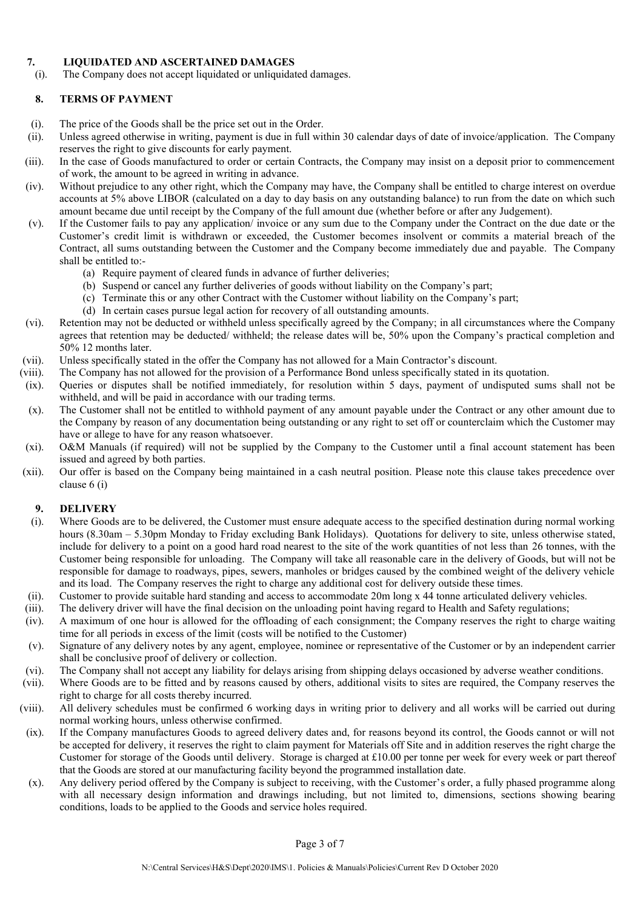## **7. LIQUIDATED AND ASCERTAINED DAMAGES**

(i). The Company does not accept liquidated or unliquidated damages.

# **8. TERMS OF PAYMENT**

- (i). The price of the Goods shall be the price set out in the Order.
- (ii). Unless agreed otherwise in writing, payment is due in full within 30 calendar days of date of invoice/application. The Company reserves the right to give discounts for early payment.
- (iii). In the case of Goods manufactured to order or certain Contracts, the Company may insist on a deposit prior to commencement of work, the amount to be agreed in writing in advance.
- (iv). Without prejudice to any other right, which the Company may have, the Company shall be entitled to charge interest on overdue accounts at 5% above LIBOR (calculated on a day to day basis on any outstanding balance) to run from the date on which such amount became due until receipt by the Company of the full amount due (whether before or after any Judgement).
- (v). If the Customer fails to pay any application/ invoice or any sum due to the Company under the Contract on the due date or the Customer's credit limit is withdrawn or exceeded, the Customer becomes insolvent or commits a material breach of the Contract, all sums outstanding between the Customer and the Company become immediately due and payable. The Company shall be entitled to:-
	- (a) Require payment of cleared funds in advance of further deliveries;
	- (b) Suspend or cancel any further deliveries of goods without liability on the Company's part;
	- (c) Terminate this or any other Contract with the Customer without liability on the Company's part;
	- (d) In certain cases pursue legal action for recovery of all outstanding amounts.
- (vi). Retention may not be deducted or withheld unless specifically agreed by the Company; in all circumstances where the Company agrees that retention may be deducted/ withheld; the release dates will be, 50% upon the Company's practical completion and 50% 12 months later.
- (vii). Unless specifically stated in the offer the Company has not allowed for a Main Contractor's discount.
- (viii). The Company has not allowed for the provision of a Performance Bond unless specifically stated in its quotation.
- (ix). Queries or disputes shall be notified immediately, for resolution within 5 days, payment of undisputed sums shall not be withheld, and will be paid in accordance with our trading terms.
- (x). The Customer shall not be entitled to withhold payment of any amount payable under the Contract or any other amount due to the Company by reason of any documentation being outstanding or any right to set off or counterclaim which the Customer may have or allege to have for any reason whatsoever.
- (xi). O&M Manuals (if required) will not be supplied by the Company to the Customer until a final account statement has been issued and agreed by both parties.
- (xii). Our offer is based on the Company being maintained in a cash neutral position. Please note this clause takes precedence over clause 6 (i)

### **9. DELIVERY**

- (i). Where Goods are to be delivered, the Customer must ensure adequate access to the specified destination during normal working hours (8.30am – 5.30pm Monday to Friday excluding Bank Holidays). Quotations for delivery to site, unless otherwise stated, include for delivery to a point on a good hard road nearest to the site of the work quantities of not less than 26 tonnes, with the Customer being responsible for unloading. The Company will take all reasonable care in the delivery of Goods, but will not be responsible for damage to roadways, pipes, sewers, manholes or bridges caused by the combined weight of the delivery vehicle and its load. The Company reserves the right to charge any additional cost for delivery outside these times.
- (ii). Customer to provide suitable hard standing and access to accommodate 20m long x 44 tonne articulated delivery vehicles.
- (iii). The delivery driver will have the final decision on the unloading point having regard to Health and Safety regulations;
- (iv). A maximum of one hour is allowed for the offloading of each consignment; the Company reserves the right to charge waiting time for all periods in excess of the limit (costs will be notified to the Customer)
- (v). Signature of any delivery notes by any agent, employee, nominee or representative of the Customer or by an independent carrier shall be conclusive proof of delivery or collection.
- (vi). The Company shall not accept any liability for delays arising from shipping delays occasioned by adverse weather conditions.
- (vii). Where Goods are to be fitted and by reasons caused by others, additional visits to sites are required, the Company reserves the right to charge for all costs thereby incurred.
- (viii). All delivery schedules must be confirmed 6 working days in writing prior to delivery and all works will be carried out during normal working hours, unless otherwise confirmed.
- (ix). If the Company manufactures Goods to agreed delivery dates and, for reasons beyond its control, the Goods cannot or will not be accepted for delivery, it reserves the right to claim payment for Materials off Site and in addition reserves the right charge the Customer for storage of the Goods until delivery. Storage is charged at £10.00 per tonne per week for every week or part thereof that the Goods are stored at our manufacturing facility beyond the programmed installation date.
- (x). Any delivery period offered by the Company is subject to receiving, with the Customer's order, a fully phased programme along with all necessary design information and drawings including, but not limited to, dimensions, sections showing bearing conditions, loads to be applied to the Goods and service holes required.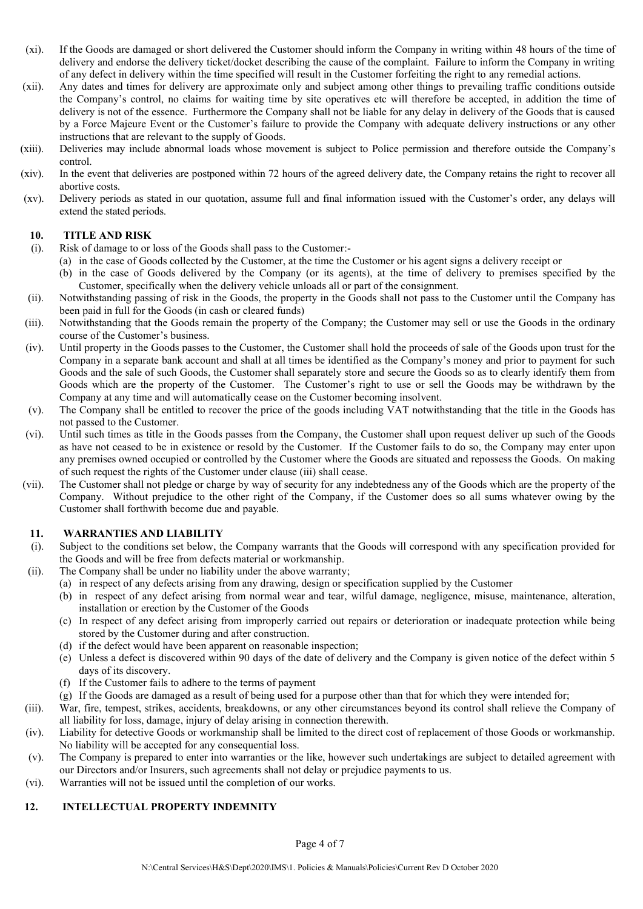- (xi). If the Goods are damaged or short delivered the Customer should inform the Company in writing within 48 hours of the time of delivery and endorse the delivery ticket/docket describing the cause of the complaint. Failure to inform the Company in writing of any defect in delivery within the time specified will result in the Customer forfeiting the right to any remedial actions.
- (xii). Any dates and times for delivery are approximate only and subject among other things to prevailing traffic conditions outside the Company's control, no claims for waiting time by site operatives etc will therefore be accepted, in addition the time of delivery is not of the essence. Furthermore the Company shall not be liable for any delay in delivery of the Goods that is caused by a Force Majeure Event or the Customer's failure to provide the Company with adequate delivery instructions or any other instructions that are relevant to the supply of Goods.
- (xiii). Deliveries may include abnormal loads whose movement is subject to Police permission and therefore outside the Company's control.
- (xiv). In the event that deliveries are postponed within 72 hours of the agreed delivery date, the Company retains the right to recover all abortive costs.
- (xv). Delivery periods as stated in our quotation, assume full and final information issued with the Customer's order, any delays will extend the stated periods.

### **10. TITLE AND RISK**

- (i). Risk of damage to or loss of the Goods shall pass to the Customer:-
	- (a) in the case of Goods collected by the Customer, at the time the Customer or his agent signs a delivery receipt or
	- (b) in the case of Goods delivered by the Company (or its agents), at the time of delivery to premises specified by the Customer, specifically when the delivery vehicle unloads all or part of the consignment.
- (ii). Notwithstanding passing of risk in the Goods, the property in the Goods shall not pass to the Customer until the Company has been paid in full for the Goods (in cash or cleared funds)
- (iii). Notwithstanding that the Goods remain the property of the Company; the Customer may sell or use the Goods in the ordinary course of the Customer's business.
- (iv). Until property in the Goods passes to the Customer, the Customer shall hold the proceeds of sale of the Goods upon trust for the Company in a separate bank account and shall at all times be identified as the Company's money and prior to payment for such Goods and the sale of such Goods, the Customer shall separately store and secure the Goods so as to clearly identify them from Goods which are the property of the Customer. The Customer's right to use or sell the Goods may be withdrawn by the Company at any time and will automatically cease on the Customer becoming insolvent.
- (v). The Company shall be entitled to recover the price of the goods including VAT notwithstanding that the title in the Goods has not passed to the Customer.
- (vi). Until such times as title in the Goods passes from the Company, the Customer shall upon request deliver up such of the Goods as have not ceased to be in existence or resold by the Customer. If the Customer fails to do so, the Company may enter upon any premises owned occupied or controlled by the Customer where the Goods are situated and repossess the Goods. On making of such request the rights of the Customer under clause (iii) shall cease.
- (vii). The Customer shall not pledge or charge by way of security for any indebtedness any of the Goods which are the property of the Company. Without prejudice to the other right of the Company, if the Customer does so all sums whatever owing by the Customer shall forthwith become due and payable.

### **11. WARRANTIES AND LIABILITY**

- (i). Subject to the conditions set below, the Company warrants that the Goods will correspond with any specification provided for the Goods and will be free from defects material or workmanship.
- (ii). The Company shall be under no liability under the above warranty;
	- (a) in respect of any defects arising from any drawing, design or specification supplied by the Customer
	- (b) in respect of any defect arising from normal wear and tear, wilful damage, negligence, misuse, maintenance, alteration, installation or erection by the Customer of the Goods
	- (c) In respect of any defect arising from improperly carried out repairs or deterioration or inadequate protection while being stored by the Customer during and after construction.
	- (d) if the defect would have been apparent on reasonable inspection;
	- (e) Unless a defect is discovered within 90 days of the date of delivery and the Company is given notice of the defect within 5 days of its discovery.
	- (f) If the Customer fails to adhere to the terms of payment
	- (g) If the Goods are damaged as a result of being used for a purpose other than that for which they were intended for;
- (iii). War, fire, tempest, strikes, accidents, breakdowns, or any other circumstances beyond its control shall relieve the Company of all liability for loss, damage, injury of delay arising in connection therewith.
- (iv). Liability for detective Goods or workmanship shall be limited to the direct cost of replacement of those Goods or workmanship. No liability will be accepted for any consequential loss.
- (v). The Company is prepared to enter into warranties or the like, however such undertakings are subject to detailed agreement with our Directors and/or Insurers, such agreements shall not delay or prejudice payments to us.
- (vi). Warranties will not be issued until the completion of our works.

### **12. INTELLECTUAL PROPERTY INDEMNITY**

Page 4 of 7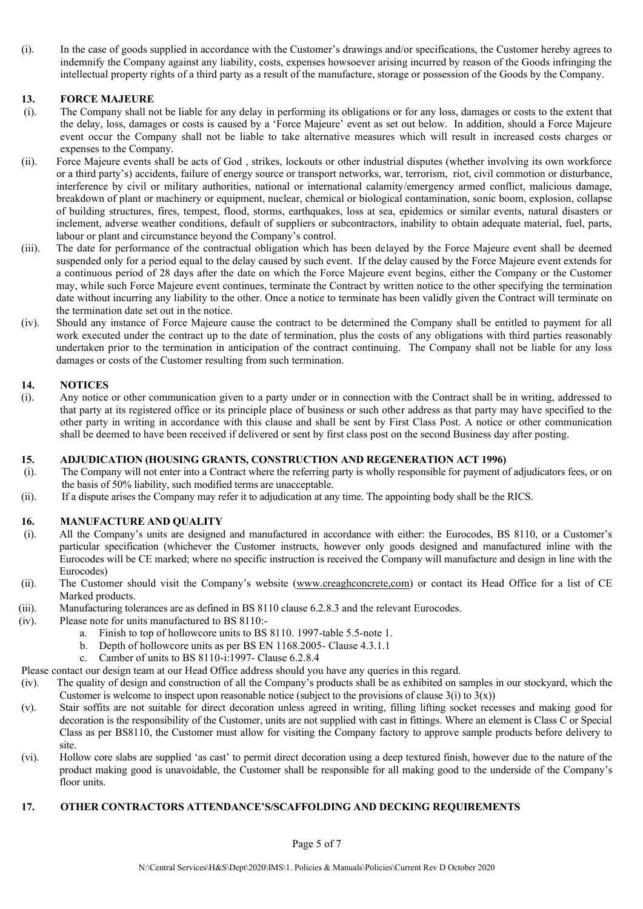(i). In the case of goods supplied in accordance with the Customer's drawings and/or specifications, the Customer hereby agrees to indemnify the Company against any liability, costs, expenses howsoever arising incurred by reason of the Goods infringing the intellectual property rights of a third party as a result of the manufacture, storage or possession of the Goods by the Company.

### **13. FORCE MAJEURE**

- (i). The Company shall not be liable for any delay in performing its obligations or for any loss, damages or costs to the extent that the delay, loss, damages or costs is caused by a 'Force Majeure' event as set out below. In addition, should a Force Majeure event occur the Company shall not be liable to take alternative measures which will result in increased costs charges or expenses to the Company.
- (ii). Force Majeure events shall be acts of God , strikes, lockouts or other industrial disputes (whether involving its own workforce or a third party's) accidents, failure of energy source or transport networks, war, terrorism, riot, civil commotion or disturbance, interference by civil or military authorities, national or international calamity/emergency armed conflict, malicious damage, breakdown of plant or machinery or equipment, nuclear, chemical or biological contamination, sonic boom, explosion, collapse of building structures, fires, tempest, flood, storms, earthquakes, loss at sea, epidemics or similar events, natural disasters or inclement, adverse weather conditions, default of suppliers or subcontractors, inability to obtain adequate material, fuel, parts, labour or plant and circumstance beyond the Company's control.
- (iii). The date for performance of the contractual obligation which has been delayed by the Force Majeure event shall be deemed suspended only for a period equal to the delay caused by such event. If the delay caused by the Force Majeure event extends for a continuous period of 28 days after the date on which the Force Majeure event begins, either the Company or the Customer may, while such Force Majeure event continues, terminate the Contract by written notice to the other specifying the termination date without incurring any liability to the other. Once a notice to terminate has been validly given the Contract will terminate on the termination date set out in the notice.
- (iv). Should any instance of Force Majeure cause the contract to be determined the Company shall be entitled to payment for all work executed under the contract up to the date of termination, plus the costs of any obligations with third parties reasonably undertaken prior to the termination in anticipation of the contract continuing. The Company shall not be liable for any loss damages or costs of the Customer resulting from such termination.

# **14. NOTICES**

(i). Any notice or other communication given to a party under or in connection with the Contract shall be in writing, addressed to that party at its registered office or its principle place of business or such other address as that party may have specified to the other party in writing in accordance with this clause and shall be sent by First Class Post. A notice or other communication shall be deemed to have been received if delivered or sent by first class post on the second Business day after posting.

### **15. ADJUDICATION (HOUSING GRANTS, CONSTRUCTION AND REGENERATION ACT 1996)**

- (i). The Company will not enter into a Contract where the referring party is wholly responsible for payment of adjudicators fees, or on the basis of 50% liability, such modified terms are unacceptable.
- (ii). If a dispute arises the Company may refer it to adjudication at any time. The appointing body shall be the RICS.

### **16. MANUFACTURE AND QUALITY**

- (i). All the Company's units are designed and manufactured in accordance with either: the Eurocodes, BS 8110, or a Customer's particular specification (whichever the Customer instructs, however only goods designed and manufactured inline with the Eurocodes will be CE marked; where no specific instruction is received the Company will manufacture and design in line with the Eurocodes)
- (ii). The Customer should visit the Company's website (www.creaghconcrete.com) or contact its Head Office for a list of CE Marked products.
- (iii). Manufacturing tolerances are as defined in BS 8110 clause 6.2.8.3 and the relevant Eurocodes.
- (iv). Please note for units manufactured to BS 8110:
	- a. Finish to top of hollowcore units to BS 8110. 1997-table 5.5-note 1.
	- b. Depth of hollowcore units as per BS EN 1168.2005- Clause 4.3.1.1
	- c. Camber of units to BS 8110-i:1997- Clause 6.2.8.4

Please contact our design team at our Head Office address should you have any queries in this regard.

- (iv). The quality of design and construction of all the Company's products shall be as exhibited on samples in our stockyard, which the Customer is welcome to inspect upon reasonable notice (subject to the provisions of clause  $3(i)$  to  $3(x)$ )
- (v). Stair soffits are not suitable for direct decoration unless agreed in writing, filling lifting socket recesses and making good for decoration is the responsibility of the Customer, units are not supplied with cast in fittings. Where an element is Class C or Special Class as per BS8110, the Customer must allow for visiting the Company factory to approve sample products before delivery to site.
- (vi). Hollow core slabs are supplied 'as cast' to permit direct decoration using a deep textured finish, however due to the nature of the product making good is unavoidable, the Customer shall be responsible for all making good to the underside of the Company's floor units.

### **17. OTHER CONTRACTORS ATTENDANCE'S/SCAFFOLDING AND DECKING REQUIREMENTS**

Page 5 of 7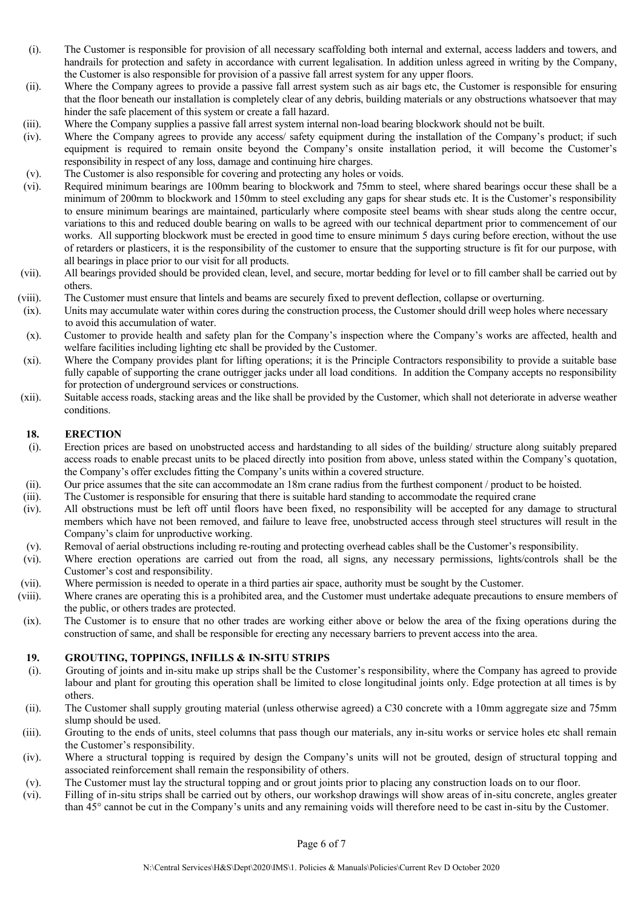- (i). The Customer is responsible for provision of all necessary scaffolding both internal and external, access ladders and towers, and handrails for protection and safety in accordance with current legalisation. In addition unless agreed in writing by the Company, the Customer is also responsible for provision of a passive fall arrest system for any upper floors.
- (ii). Where the Company agrees to provide a passive fall arrest system such as air bags etc, the Customer is responsible for ensuring that the floor beneath our installation is completely clear of any debris, building materials or any obstructions whatsoever that may hinder the safe placement of this system or create a fall hazard.
- (iii). Where the Company supplies a passive fall arrest system internal non-load bearing blockwork should not be built.
- (iv). Where the Company agrees to provide any access/ safety equipment during the installation of the Company's product; if such equipment is required to remain onsite beyond the Company's onsite installation period, it will become the Customer's responsibility in respect of any loss, damage and continuing hire charges.
- (v). The Customer is also responsible for covering and protecting any holes or voids.<br>(vi). Required minimum bearings are 100mm bearing to blockwork and 75mm to st
- Required minimum bearings are 100mm bearing to blockwork and 75mm to steel, where shared bearings occur these shall be a minimum of 200mm to blockwork and 150mm to steel excluding any gaps for shear studs etc. It is the Customer's responsibility to ensure minimum bearings are maintained, particularly where composite steel beams with shear studs along the centre occur, variations to this and reduced double bearing on walls to be agreed with our technical department prior to commencement of our works. All supporting blockwork must be erected in good time to ensure minimum 5 days curing before erection, without the use of retarders or plasticers, it is the responsibility of the customer to ensure that the supporting structure is fit for our purpose, with all bearings in place prior to our visit for all products.
- (vii). All bearings provided should be provided clean, level, and secure, mortar bedding for level or to fill camber shall be carried out by others.
- (viii). The Customer must ensure that lintels and beams are securely fixed to prevent deflection, collapse or overturning.
- (ix). Units may accumulate water within cores during the construction process, the Customer should drill weep holes where necessary to avoid this accumulation of water.
- (x). Customer to provide health and safety plan for the Company's inspection where the Company's works are affected, health and welfare facilities including lighting etc shall be provided by the Customer.
- (xi). Where the Company provides plant for lifting operations; it is the Principle Contractors responsibility to provide a suitable base fully capable of supporting the crane outrigger jacks under all load conditions. In addition the Company accepts no responsibility for protection of underground services or constructions.
- (xii). Suitable access roads, stacking areas and the like shall be provided by the Customer, which shall not deteriorate in adverse weather conditions.

#### **18. ERECTION**

- (i). Erection prices are based on unobstructed access and hardstanding to all sides of the building/ structure along suitably prepared access roads to enable precast units to be placed directly into position from above, unless stated within the Company's quotation, the Company's offer excludes fitting the Company's units within a covered structure.
- (ii). Our price assumes that the site can accommodate an 18m crane radius from the furthest component / product to be hoisted.
- (iii). The Customer is responsible for ensuring that there is suitable hard standing to accommodate the required crane
- (iv). All obstructions must be left off until floors have been fixed, no responsibility will be accepted for any damage to structural members which have not been removed, and failure to leave free, unobstructed access through steel structures will result in the Company's claim for unproductive working.
- (v). Removal of aerial obstructions including re-routing and protecting overhead cables shall be the Customer's responsibility.
- (vi). Where erection operations are carried out from the road, all signs, any necessary permissions, lights/controls shall be the Customer's cost and responsibility.
- (vii). Where permission is needed to operate in a third parties air space, authority must be sought by the Customer.
- (viii). Where cranes are operating this is a prohibited area, and the Customer must undertake adequate precautions to ensure members of the public, or others trades are protected.
- (ix). The Customer is to ensure that no other trades are working either above or below the area of the fixing operations during the construction of same, and shall be responsible for erecting any necessary barriers to prevent access into the area.

### **19. GROUTING, TOPPINGS, INFILLS & IN-SITU STRIPS**

- (i). Grouting of joints and in-situ make up strips shall be the Customer's responsibility, where the Company has agreed to provide labour and plant for grouting this operation shall be limited to close longitudinal joints only. Edge protection at all times is by others.
- (ii). The Customer shall supply grouting material (unless otherwise agreed) a C30 concrete with a 10mm aggregate size and 75mm slump should be used.
- (iii). Grouting to the ends of units, steel columns that pass though our materials, any in-situ works or service holes etc shall remain the Customer's responsibility.
- (iv). Where a structural topping is required by design the Company's units will not be grouted, design of structural topping and associated reinforcement shall remain the responsibility of others.
- (v). The Customer must lay the structural topping and or grout joints prior to placing any construction loads on to our floor.
- (vi). Filling of in-situ strips shall be carried out by others, our workshop drawings will show areas of in-situ concrete, angles greater than 45° cannot be cut in the Company's units and any remaining voids will therefore need to be cast in-situ by the Customer.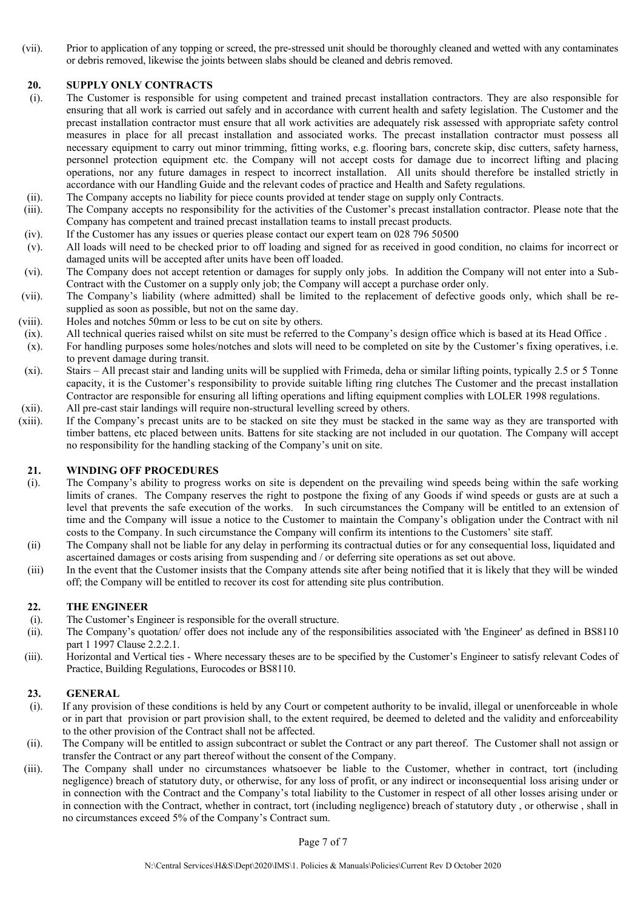(vii). Prior to application of any topping or screed, the pre-stressed unit should be thoroughly cleaned and wetted with any contaminates or debris removed, likewise the joints between slabs should be cleaned and debris removed.

### **20. SUPPLY ONLY CONTRACTS**

- (i). The Customer is responsible for using competent and trained precast installation contractors. They are also responsible for ensuring that all work is carried out safely and in accordance with current health and safety legislation. The Customer and the precast installation contractor must ensure that all work activities are adequately risk assessed with appropriate safety control measures in place for all precast installation and associated works. The precast installation contractor must possess all necessary equipment to carry out minor trimming, fitting works, e.g. flooring bars, concrete skip, disc cutters, safety harness, personnel protection equipment etc. the Company will not accept costs for damage due to incorrect lifting and placing operations, nor any future damages in respect to incorrect installation. All units should therefore be installed strictly in accordance with our Handling Guide and the relevant codes of practice and Health and Safety regulations.
- (ii). The Company accepts no liability for piece counts provided at tender stage on supply only Contracts.<br>(iii). The Company accepts no responsibility for the activities of the Customer's precast installation contr
- The Company accepts no responsibility for the activities of the Customer's precast installation contractor. Please note that the Company has competent and trained precast installation teams to install precast products.
- (iv). If the Customer has any issues or queries please contact our expert team on 028 796 50500
- (v). All loads will need to be checked prior to off loading and signed for as received in good condition, no claims for incorrect or damaged units will be accepted after units have been off loaded.
- (vi). The Company does not accept retention or damages for supply only jobs. In addition the Company will not enter into a Sub-Contract with the Customer on a supply only job; the Company will accept a purchase order only.
- (vii). The Company's liability (where admitted) shall be limited to the replacement of defective goods only, which shall be resupplied as soon as possible, but not on the same day.
- (viii). Holes and notches 50mm or less to be cut on site by others.
- (ix). All technical queries raised whilst on site must be referred to the Company's design office which is based at its Head Office .
- (x). For handling purposes some holes/notches and slots will need to be completed on site by the Customer's fixing operatives, i.e. to prevent damage during transit.
- (xi). Stairs All precast stair and landing units will be supplied with Frimeda, deha or similar lifting points, typically 2.5 or 5 Tonne capacity, it is the Customer's responsibility to provide suitable lifting ring clutches The Customer and the precast installation Contractor are responsible for ensuring all lifting operations and lifting equipment complies with LOLER 1998 regulations. (xii). All pre-cast stair landings will require non-structural levelling screed by others.
- (xiii). If the Company's precast units are to be stacked on site they must be stacked in the same way as they are transported with timber battens, etc placed between units. Battens for site stacking are not included in our quotation. The Company will accept no responsibility for the handling stacking of the Company's unit on site.

### **21. WINDING OFF PROCEDURES**

- (i). The Company's ability to progress works on site is dependent on the prevailing wind speeds being within the safe working limits of cranes. The Company reserves the right to postpone the fixing of any Goods if wind speeds or gusts are at such a level that prevents the safe execution of the works. In such circumstances the Company will be entitled to an extension of time and the Company will issue a notice to the Customer to maintain the Company's obligation under the Contract with nil costs to the Company. In such circumstance the Company will confirm its intentions to the Customers' site staff.
- (ii) The Company shall not be liable for any delay in performing its contractual duties or for any consequential loss, liquidated and ascertained damages or costs arising from suspending and / or deferring site operations as set out above.
- (iii) In the event that the Customer insists that the Company attends site after being notified that it is likely that they will be winded off; the Company will be entitled to recover its cost for attending site plus contribution.

### **22. THE ENGINEER**

- (i). The Customer's Engineer is responsible for the overall structure.
- (ii). The Company's quotation/ offer does not include any of the responsibilities associated with 'the Engineer' as defined in BS8110 part 1 1997 Clause 2.2.2.1.
- (iii). Horizontal and Vertical ties Where necessary theses are to be specified by the Customer's Engineer to satisfy relevant Codes of Practice, Building Regulations, Eurocodes or BS8110.

### **23. GENERAL**

- (i). If any provision of these conditions is held by any Court or competent authority to be invalid, illegal or unenforceable in whole or in part that provision or part provision shall, to the extent required, be deemed to deleted and the validity and enforceability to the other provision of the Contract shall not be affected.
- (ii). The Company will be entitled to assign subcontract or sublet the Contract or any part thereof. The Customer shall not assign or transfer the Contract or any part thereof without the consent of the Company.
- (iii). The Company shall under no circumstances whatsoever be liable to the Customer, whether in contract, tort (including negligence) breach of statutory duty, or otherwise, for any loss of profit, or any indirect or inconsequential loss arising under or in connection with the Contract and the Company's total liability to the Customer in respect of all other losses arising under or in connection with the Contract, whether in contract, tort (including negligence) breach of statutory duty , or otherwise , shall in no circumstances exceed 5% of the Company's Contract sum.

Page 7 of 7